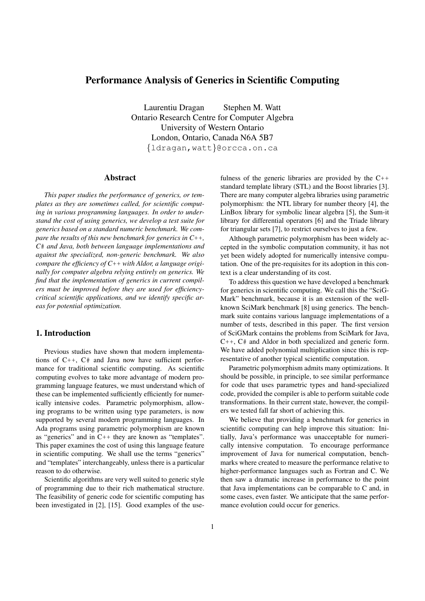# Performance Analysis of Generics in Scientific Computing

Laurentiu Dragan Stephen M. Watt Ontario Research Centre for Computer Algebra University of Western Ontario London, Ontario, Canada N6A 5B7 {ldragan,watt}@orcca.on.ca

#### Abstract

*This paper studies the performance of generics, or templates as they are sometimes called, for scientific computing in various programming languages. In order to understand the cost of using generics, we develop a test suite for generics based on a standard numeric benchmark. We compare the results of this new benchmark for generics in C*++*, C*# *and Java, both between language implementations and against the specialized, non-generic benchmark. We also compare the efficiency of C*++ *with Aldor, a language originally for computer algebra relying entirely on generics. We find that the implementation of generics in current compilers must be improved before they are used for efficiencycritical scientific applications, and we identify specific areas for potential optimization.*

## 1. Introduction

Previous studies have shown that modern implementations of C++, C# and Java now have sufficient performance for traditional scientific computing. As scientific computing evolves to take more advantage of modern programming language features, we must understand which of these can be implemented sufficiently efficiently for numerically intensive codes. Parametric polymorphism, allowing programs to be written using type parameters, is now supported by several modern programming languages. In Ada programs using parametric polymorphism are known as "generics" and in C++ they are known as "templates". This paper examines the cost of using this language feature in scientific computing. We shall use the terms "generics" and "templates" interchangeably, unless there is a particular reason to do otherwise.

Scientific algorithms are very well suited to generic style of programming due to their rich mathematical structure. The feasibility of generic code for scientific computing has been investigated in [2], [15]. Good examples of the usefulness of the generic libraries are provided by the C++ standard template library (STL) and the Boost libraries [3]. There are many computer algebra libraries using parametric polymorphism: the NTL library for number theory [4], the LinBox library for symbolic linear algebra [5], the Sum-it library for differential operators [6] and the Triade library for triangular sets [7], to restrict ourselves to just a few.

Although parametric polymorphism has been widely accepted in the symbolic computation community, it has not yet been widely adopted for numerically intensive computation. One of the pre-requisites for its adoption in this context is a clear understanding of its cost.

To address this question we have developed a benchmark for generics in scientific computing. We call this the "SciG-Mark" benchmark, because it is an extension of the wellknown SciMark benchmark [8] using generics. The benchmark suite contains various language implementations of a number of tests, described in this paper. The first version of SciGMark contains the problems from SciMark for Java, C++, C# and Aldor in both specialized and generic form. We have added polynomial multiplication since this is representative of another typical scientific computation.

Parametric polymorphism admits many optimizations. It should be possible, in principle, to see similar performance for code that uses parametric types and hand-specialized code, provided the compiler is able to perform suitable code transformations. In their current state, however, the compilers we tested fall far short of achieving this.

We believe that providing a benchmark for generics in scientific computing can help improve this situation: Initially, Java's performance was unacceptable for numerically intensive computation. To encourage performance improvement of Java for numerical computation, benchmarks where created to measure the performance relative to higher-performance languages such as Fortran and C. We then saw a dramatic increase in performance to the point that Java implementations can be comparable to C and, in some cases, even faster. We anticipate that the same performance evolution could occur for generics.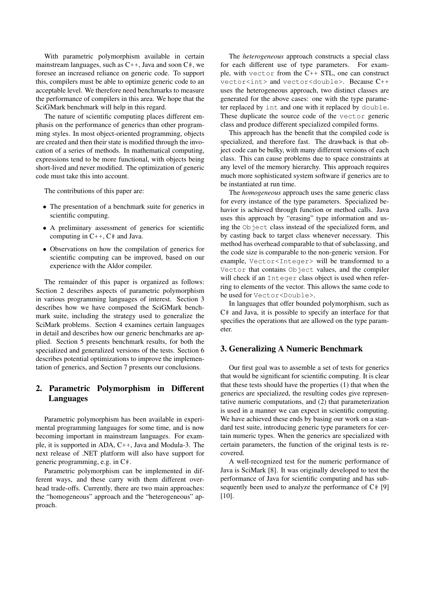With parametric polymorphism available in certain mainstream languages, such as  $C_{++}$ , Java and soon  $C_{+}$ , we foresee an increased reliance on generic code. To support this, compilers must be able to optimize generic code to an acceptable level. We therefore need benchmarks to measure the performance of compilers in this area. We hope that the SciGMark benchmark will help in this regard.

The nature of scientific computing places different emphasis on the performance of generics than other programming styles. In most object-oriented programming, objects are created and then their state is modified through the invocation of a series of methods. In mathematical computing, expressions tend to be more functional, with objects being short-lived and never modified. The optimization of generic code must take this into account.

The contributions of this paper are:

- The presentation of a benchmark suite for generics in scientific computing.
- A preliminary assessment of generics for scientific computing in  $C_{++}$ ,  $C_{+}$  and Java.
- Observations on how the compilation of generics for scientific computing can be improved, based on our experience with the Aldor compiler.

The remainder of this paper is organized as follows: Section 2 describes aspects of parametric polymorphism in various programming languages of interest. Section 3 describes how we have composed the SciGMark benchmark suite, including the strategy used to generalize the SciMark problems. Section 4 examines certain languages in detail and describes how our generic benchmarks are applied. Section 5 presents benchmark results, for both the specialized and generalized versions of the tests. Section 6 describes potential optimizations to improve the implementation of generics, and Section 7 presents our conclusions.

# 2. Parametric Polymorphism in Different Languages

Parametric polymorphism has been available in experimental programming languages for some time, and is now becoming important in mainstream languages. For example, it is supported in ADA, C++, Java and Modula-3. The next release of .NET platform will also have support for generic programming, e.g. in C#.

Parametric polymorphism can be implemented in different ways, and these carry with them different overhead trade-offs. Currently, there are two main approaches: the "homogeneous" approach and the "heterogeneous" approach.

The *heterogeneous* approach constructs a special class for each different use of type parameters. For example, with vector from the C++ STL, one can construct vector<int> and vector<double>. Because C++ uses the heterogeneous approach, two distinct classes are generated for the above cases: one with the type parameter replaced by int and one with it replaced by double. These duplicate the source code of the vector generic class and produce different specialized compiled forms.

This approach has the benefit that the compiled code is specialized, and therefore fast. The drawback is that object code can be bulky, with many different versions of each class. This can cause problems due to space constraints at any level of the memory hierarchy. This approach requires much more sophisticated system software if generics are to be instantiated at run time.

The *homogeneous* approach uses the same generic class for every instance of the type parameters. Specialized behavior is achieved through function or method calls. Java uses this approach by "erasing" type information and using the Object class instead of the specialized form, and by casting back to target class whenever necessary. This method has overhead comparable to that of subclassing, and the code size is comparable to the non-generic version. For example, Vector<Integer> will be transformed to a Vector that contains Object values, and the compiler will check if an Integer class object is used when referring to elements of the vector. This allows the same code to be used for Vector<Double>.

In languages that offer bounded polymorphism, such as C# and Java, it is possible to specify an interface for that specifies the operations that are allowed on the type parameter.

### 3. Generalizing A Numeric Benchmark

Our first goal was to assemble a set of tests for generics that would be significant for scientific computing. It is clear that these tests should have the properties (1) that when the generics are specialized, the resulting codes give representative numeric computations, and (2) that parameterization is used in a manner we can expect in scientific computing. We have achieved these ends by basing our work on a standard test suite, introducing generic type parameters for certain numeric types. When the generics are specialized with certain parameters, the function of the original tests is recovered.

A well-recognized test for the numeric performance of Java is SciMark [8]. It was originally developed to test the performance of Java for scientific computing and has subsequently been used to analyze the performance of C# [9] [10].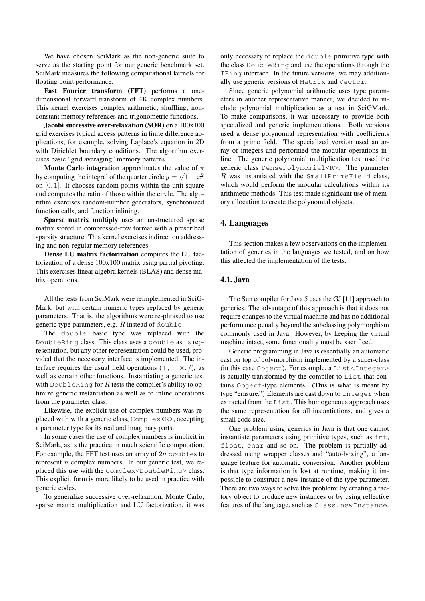We have chosen SciMark as the non-generic suite to serve as the starting point for our generic benchmark set. SciMark measures the following computational kernels for floating point performance:

Fast Fourier transform (FFT) performs a onedimensional forward transform of 4K complex numbers. This kernel exercises complex arithmetic, shuffling, nonconstant memory references and trigonometric functions.

Jacobi successive over-relaxation (SOR) on a 100x100 grid exercises typical access patterns in finite difference applications, for example, solving Laplace's equation in 2D with Dirichlet boundary conditions. The algorithm exercises basic "grid averaging" memory patterns.

**Monte Carlo integration** approximates the value of  $\pi$ by computing the integral of the quarter circle  $y = \sqrt{1 - x^2}$ on  $[0, 1]$ . It chooses random points within the unit square and computes the ratio of those within the circle. The algorithm exercises random-number generators, synchronized function calls, and function inlining.

Sparse matrix multiply uses an unstructured sparse matrix stored in compressed-row format with a prescribed sparsity structure. This kernel exercises indirection addressing and non-regular memory references.

Dense LU matrix factorization computes the LU factorization of a dense 100x100 matrix using partial pivoting. This exercises linear algebra kernels (BLAS) and dense matrix operations.

All the tests from SciMark were reimplemented in SciG-Mark, but with certain numeric types replaced by generic parameters. That is, the algorithms were re-phrased to use generic type parameters, e.g.  $R$  instead of double.

The double basic type was replaced with the DoubleRing class. This class uses a double as its representation, but any other representation could be used, provided that the necessary interface is implemented. The interface requires the usual field operations  $(+, -, \times, /)$ , as well as certain other functions. Instantiating a generic test with DoubleRing for  $R$  tests the compiler's ability to optimize generic instantiation as well as to inline operations from the parameter class.

Likewise, the explicit use of complex numbers was replaced with with a generic class, Complex<R>, accepting a parameter type for its real and imaginary parts.

In some cases the use of complex numbers is implicit in SciMark, as is the practice in much scientific computation. For example, the FFT test uses an array of  $2n$  doubles to represent n complex numbers. In our generic test, we replaced this use with the Complex<DoubleRing> class. This explicit form is more likely to be used in practice with generic codes.

To generalize successive over-relaxation, Monte Carlo, sparse matrix multiplication and LU factorization, it was only necessary to replace the double primitive type with the class DoubleRing and use the operations through the IRing interface. In the future versions, we may additionally use generic versions of Matrix and Vector.

Since generic polynomial arithmetic uses type parameters in another representative manner, we decided to include polynomial multiplication as a test in SciGMark. To make comparisons, it was necessary to provide both specialized and generic implementations. Both versions used a dense polynomial representation with coefficients from a prime field. The specialized version used an array of integers and performed the modular operations inline. The generic polynomial multiplication test used the generic class DensePolynomial<R>. The parameter  $R$  was instantiated with the SmallPrimeField class, which would perform the modular calculations within its arithmetic methods. This test made significant use of memory allocation to create the polynomial objects.

### 4. Languages

This section makes a few observations on the implementation of generics in the languages we tested, and on how this affected the implementation of the tests.

## 4.1. Java

The Sun compiler for Java 5 uses the GJ [11] approach to generics. The advantage of this approach is that it does not require changes to the virtual machine and has no additional performance penalty beyond the subclassing polymorphism commonly used in Java. However, by keeping the virtual machine intact, some functionality must be sacrificed.

Generic programming in Java is essentially an automatic cast on top of polymorphism implemented by a super-class (in this case Object). For example, a List<Integer> is actually transformed by the compiler to List that contains Object-type elements. (This is what is meant by type "erasure.") Elements are cast down to Integer when extracted from the List. This homogeneous approach uses the same representation for all instantiations, and gives a small code size.

One problem using generics in Java is that one cannot instantiate parameters using primitive types, such as int, float, char and so on. The problem is partially addressed using wrapper classes and "auto-boxing", a language feature for automatic conversion. Another problem is that type information is lost at runtime, making it impossible to construct a new instance of the type parameter. There are two ways to solve this problem: by creating a factory object to produce new instances or by using reflective features of the language, such as Class.newInstance.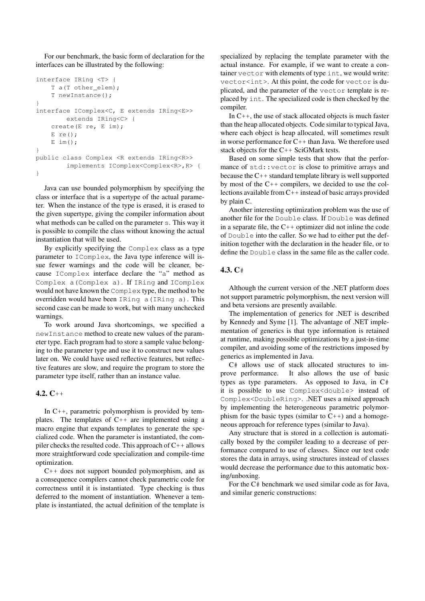For our benchmark, the basic form of declaration for the interfaces can be illustrated by the following:

```
interface IRing <T> {
    T a(T other_elem);
    T newInstance();
}
interface IComplex<C, E extends IRing<E>>
       extends IRing<C> {
    create(E re, E im);
    E re();
    E \text{im}();
}
public class Complex <R extends IRing<R>>
        implements IComplex<Complex<R>,R> {
}
```
Java can use bounded polymorphism by specifying the class or interface that is a supertype of the actual parameter. When the instance of the type is erased, it is erased to the given supertype, giving the compiler information about what methods can be called on the parameter s. This way it is possible to compile the class without knowing the actual instantiation that will be used.

By explicitly specifying the Complex class as a type parameter to IComplex, the Java type inference will issue fewer warnings and the code will be cleaner, because IComplex interface declare the "a" method as Complex a(Complex a). If IRing and IComplex would not have known the Complex type, the method to be overridden would have been IRing a(IRing a). This second case can be made to work, but with many unchecked warnings.

To work around Java shortcomings, we specified a newInstance method to create new values of the parameter type. Each program had to store a sample value belonging to the parameter type and use it to construct new values later on. We could have used reflective features, but reflective features are slow, and require the program to store the parameter type itself, rather than an instance value.

#### 4.2. C++

In  $C_{++}$ , parametric polymorphism is provided by templates. The templates of  $C++$  are implemented using a macro engine that expands templates to generate the specialized code. When the parameter is instantiated, the compiler checks the resulted code. This approach of C++ allows more straightforward code specialization and compile-time optimization.

C++ does not support bounded polymorphism, and as a consequence compilers cannot check parametric code for correctness until it is instantiated. Type checking is thus deferred to the moment of instantiation. Whenever a template is instantiated, the actual definition of the template is specialized by replacing the template parameter with the actual instance. For example, if we want to create a container vector with elements of type int, we would write: vector<int>. At this point, the code for vector is duplicated, and the parameter of the vector template is replaced by int. The specialized code is then checked by the compiler.

In  $C_{++}$ , the use of stack allocated objects is much faster than the heap allocated objects. Code similar to typical Java, where each object is heap allocated, will sometimes result in worse performance for  $C++$  than Java. We therefore used stack objects for the C++ SciGMark tests.

Based on some simple tests that show that the performance of std::vector is close to primitive arrays and because the C++ standard template library is well supported by most of the C++ compilers, we decided to use the collections available from C++ instead of basic arrays provided by plain C.

Another interesting optimization problem was the use of another file for the Double class. If Double was defined in a separate file, the  $C_{++}$  optimizer did not inline the code of Double into the caller. So we had to either put the definition together with the declaration in the header file, or to define the Double class in the same file as the caller code.

### 4.3.  $C#$

Although the current version of the .NET platform does not support parametric polymorphism, the next version will and beta versions are presently available.

The implementation of generics for .NET is described by Kennedy and Syme [1]. The advantage of .NET implementation of generics is that type information is retained at runtime, making possible optimizations by a just-in-time compiler, and avoiding some of the restrictions imposed by generics as implemented in Java.

C# allows use of stack allocated structures to improve performance. It also allows the use of basic types as type parameters. As opposed to Java, in C# it is possible to use Complex<double> instead of Complex<DoubleRing>. .NET uses a mixed approach by implementing the heterogeneous parametric polymorphism for the basic types (similar to  $C_{++}$ ) and a homogeneous approach for reference types (similar to Java).

Any structure that is stored in a collection is automatically boxed by the compiler leading to a decrease of performance compared to use of classes. Since our test code stores the data in arrays, using structures instead of classes would decrease the performance due to this automatic boxing/unboxing.

For the C# benchmark we used similar code as for Java, and similar generic constructions: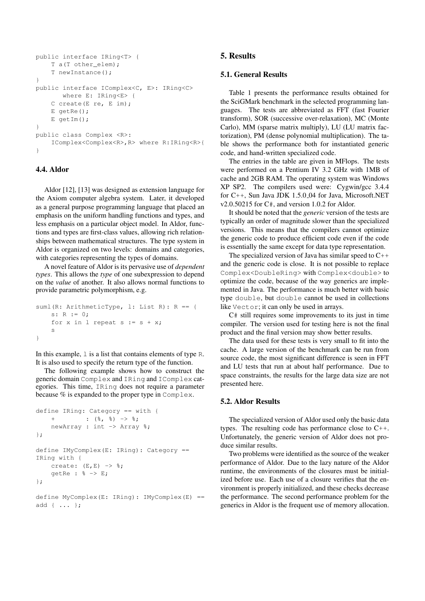```
public interface IRing<T> {
    T a(T other_elem);
   T newInstance();
}
public interface IComplex<C, E>: IRing<C>
      where E: IRing<E> {
    C create(E re, E im);
   E getRe();
    E getIm();
}
public class Complex <R>:
    IComplex<Complex<R>,R> where R:IRing<R>{
}
```
### 4.4. Aldor

Aldor [12], [13] was designed as extension language for the Axiom computer algebra system. Later, it developed as a general purpose programming language that placed an emphasis on the uniform handling functions and types, and less emphasis on a particular object model. In Aldor, functions and types are first-class values, allowing rich relationships between mathematical structures. The type system in Aldor is organized on two levels: domains and categories, with categories representing the types of domains.

A novel feature of Aldor is its pervasive use of *dependent types*. This allows the *type* of one subexpression to depend on the *value* of another. It also allows normal functions to provide parametric polymorphism, e.g.

```
suml(R: ArithmeticType, l: List R): R == {
   s: R := 0;for x in 1 repeat s := s + x;s
}
```
In this example,  $1$  is a list that contains elements of type R. It is also used to specify the return type of the function.

The following example shows how to construct the generic domain Complex and IRing and IComplex categories. This time, IRing does not require a parameter because % is expanded to the proper type in Complex.

```
define IRing: Category == with {
    + : (\frac{6}{6}, \frac{8}{6}) \rightarrow \frac{6}{6};
    newArray : int -> Array %;
};
define IMyComplex(E: IRing): Category ==
IRing with {
    create: (E, E) \rightarrow %;
    getRe : % \rightarrow E;
};
define MyComplex(E: IRing): IMyComplex(E) ==
add { ... };
```
### 5. Results

## 5.1. General Results

Table 1 presents the performance results obtained for the SciGMark benchmark in the selected programming languages. The tests are abbreviated as FFT (fast Fourier transform), SOR (successive over-relaxation), MC (Monte Carlo), MM (sparse matrix multiply), LU (LU matrix factorization), PM (dense polynomial multiplication). The table shows the performance both for instantiated generic code, and hand-written specialized code.

The entries in the table are given in MFlops. The tests were performed on a Pentium IV 3.2 GHz with 1MB of cache and 2GB RAM. The operating system was Windows XP SP2. The compilers used were: Cygwin/gcc 3.4.4 for C++, Sun Java JDK 1.5.0 04 for Java, Microsoft.NET  $v2.0.50215$  for  $C#$ , and version 1.0.2 for Aldor.

It should be noted that the *generic* version of the tests are typically an order of magnitude slower than the specialized versions. This means that the compilers cannot optimize the generic code to produce efficient code even if the code is essentially the same except for data type representation.

The specialized version of Java has similar speed to  $C_{++}$ and the generic code is close. It is not possible to replace Complex<DoubleRing> with Complex<double> to optimize the code, because of the way generics are implemented in Java. The performance is much better with basic type double, but double cannot be used in collections like Vector; it can only be used in arrays.

C# still requires some improvements to its just in time compiler. The version used for testing here is not the final product and the final version may show better results.

The data used for these tests is very small to fit into the cache. A large version of the benchmark can be run from source code, the most significant difference is seen in FFT and LU tests that run at about half performance. Due to space constraints, the results for the large data size are not presented here.

#### 5.2. Aldor Results

The specialized version of Aldor used only the basic data types. The resulting code has performance close to C++. Unfortunately, the generic version of Aldor does not produce similar results.

Two problems were identified as the source of the weaker performance of Aldor. Due to the lazy nature of the Aldor runtime, the environments of the closures must be initialized before use. Each use of a closure verifies that the environment is properly initialized, and these checks decrease the performance. The second performance problem for the generics in Aldor is the frequent use of memory allocation.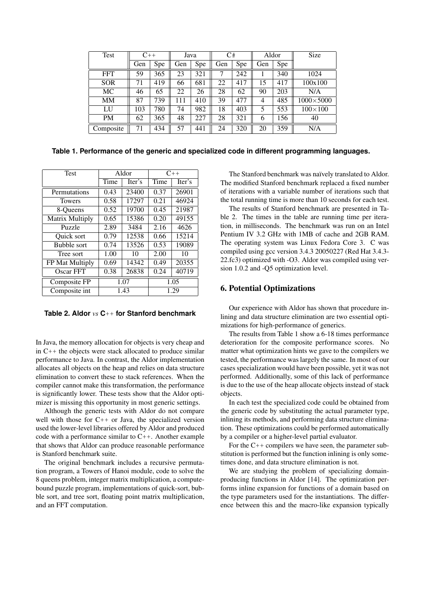| Test       | $C++$ |     | Java |     | C#  |     | Aldor |     | Size              |
|------------|-------|-----|------|-----|-----|-----|-------|-----|-------------------|
|            | Gen   | Spe | Gen  | Spe | Gen | Spe | Gen   | Spe |                   |
| <b>FFT</b> | 59    | 365 | 23   | 321 | 7   | 242 |       | 340 | 1024              |
| <b>SOR</b> | 71    | 419 | 66   | 681 | 22  | 417 | 15    | 417 | 100x100           |
| МC         | 46    | 65  | 22   | 26  | 28  | 62  | 90    | 203 | N/A               |
| MM         | 87    | 739 | 111  | 410 | 39  | 477 | 4     | 485 | $1000\times 5000$ |
| LU         | 103   | 780 | 74   | 982 | 18  | 403 | 5     | 553 | $100\times100$    |
| PM         | 62    | 365 | 48   | 227 | 28  | 321 | 6     | 156 | 40                |
| Composite  | 71    | 434 | 57   | 441 | 24  | 320 | 20    | 359 | N/A               |

**Table 1. Performance of the generic and specialized code in different programming languages.**

| <b>Test</b>      |      | Aldor  | $C++$ |        |  |
|------------------|------|--------|-------|--------|--|
|                  | Time | Iter's | Time  | Iter's |  |
| Permutations     | 0.43 | 23400  | 0.37  | 26901  |  |
| <b>Towers</b>    | 0.58 | 17297  | 0.21  | 46924  |  |
| 8-Oueens         | 0.52 | 19700  | 0.45  | 21987  |  |
| Matrix Multiply  | 0.65 | 15386  | 0.20  | 49155  |  |
| Puzzle           | 2.89 | 3484   | 2.16  | 4626   |  |
| Quick sort       | 0.79 | 12538  | 0.66  | 15214  |  |
| Bubble sort      | 0.74 | 13526  | 0.53  | 19089  |  |
| Tree sort        | 1.00 | 10     | 2.00  | 10     |  |
| FP Mat Multiply  | 0.69 | 14342  | 0.49  | 20355  |  |
| <b>Oscar FFT</b> | 0.38 | 26838  | 0.24  | 40719  |  |
| Composite FP     |      | 1.07   | 1.05  |        |  |
| Composite int    |      | 1.43   | 1.29  |        |  |

### **Table 2. Aldor** *vs* **C**++ **for Stanford benchmark**

In Java, the memory allocation for objects is very cheap and in C++ the objects were stack allocated to produce similar performance to Java. In contrast, the Aldor implementation allocates all objects on the heap and relies on data structure elimination to convert these to stack references. When the compiler cannot make this transformation, the performance is significantly lower. These tests show that the Aldor optimizer is missing this opportunity in most generic settings.

Although the generic tests with Aldor do not compare well with those for C++ or Java, the specialized version used the lower-level libraries offered by Aldor and produced code with a performance similar to C++. Another example that shows that Aldor can produce reasonable performance is Stanford benchmark suite.

The original benchmark includes a recursive permutation program, a Towers of Hanoi module, code to solve the 8 queens problem, integer matrix multiplication, a computebound puzzle program, implementations of quick-sort, bubble sort, and tree sort, floating point matrix multiplication, and an FFT computation.

The Stanford benchmark was naïvely translated to Aldor. The modified Stanford benchmark replaced a fixed number of iterations with a variable number of iterations such that the total running time is more than 10 seconds for each test.

The results of Stanford benchmark are presented in Table 2. The times in the table are running time per iteration, in milliseconds. The benchmark was run on an Intel Pentium IV 3.2 GHz with 1MB of cache and 2GB RAM. The operating system was Linux Fedora Core 3. C was compiled using gcc version 3.4.3 20050227 (Red Hat 3.4.3- 22.fc3) optimized with -O3. Aldor was compiled using version 1.0.2 and -Q5 optimization level.

#### 6. Potential Optimizations

Our experience with Aldor has shown that procedure inlining and data structure elimination are two essential optimizations for high-performance of generics.

The results from Table 1 show a 6-18 times performance deterioration for the composite performance scores. No matter what optimization hints we gave to the compilers we tested, the performance was largely the same. In most of our cases specialization would have been possible, yet it was not performed. Additionally, some of this lack of performance is due to the use of the heap allocate objects instead of stack objects.

In each test the specialized code could be obtained from the generic code by substituting the actual parameter type, inlining its methods, and performing data structure elimination. These optimizations could be performed automatically by a compiler or a higher-level partial evaluator.

For the  $C_{++}$  compilers we have seen, the parameter substitution is performed but the function inlining is only sometimes done, and data structure elimination is not.

We are studying the problem of specializing domainproducing functions in Aldor [14]. The optimization performs inline expansion for functions of a domain based on the type parameters used for the instantiations. The difference between this and the macro-like expansion typically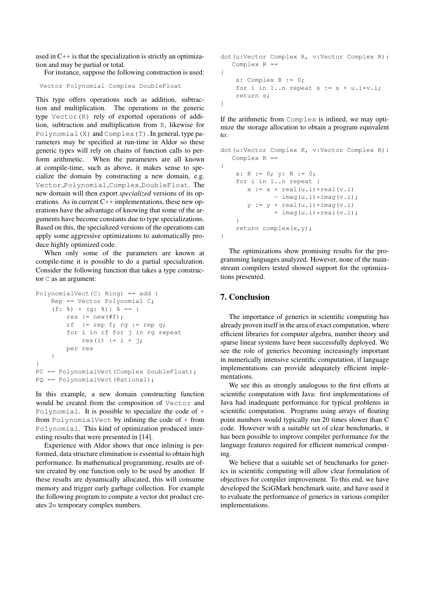used in  $C_{++}$  is that the specialization is strictly an optimization and may be partial or total.

For instance, suppose the following construction is used:

```
Vector Polynomial Complex DoubleFloat
```
This type offers operations such as addition, subtraction and multiplication. The operations in the generic type Vector(R) rely of exported operations of addition, subtraction and multiplication from R, likewise for Polynomial(X) and Complex(T). In general, type parameters may be specified at run-time in Aldor so these generic types will rely on chains of function calls to perform arithmetic. When the parameters are all known at compile-time, such as above, it makes sense to specialize the domain by constructing a new domain, e.g. Vector Polynomial Complex DoubleFloat. The new domain will then export *specialized* versions of its operations. As in current  $C++$  implementations, these new operations have the advantage of knowing that some of the arguments have become constants due to type specializations. Based on this, the specialized versions of the operations can apply some aggressive optimizations to automatically produce highly optimized code.

When only some of the parameters are known at compile-time it is possible to do a partial specialization. Consider the following function that takes a type constructor C as an argument:

```
PolynomialVect(C: Ring) == add {
    Rep == Vector Polynomial C;
    (f: \S) + (q: \S) : \S = \{res := new (\#f);
         rf := rep \nvert f; \nvert rq := rep \nvert q;for i in rf for j in rg repeat
             res(i) := i + j;
        per res
    }
}
PC == PolynomialVect(Complex DoubleFloat);
PQ == PolynomialVect(Rational);
```
In this example, a new domain constructing function would be created from the composition of Vector and Polynomial. It is possible to specialize the code of + from PolynomialVect by inlining the code of + from Polynomial. This kind of optimization produced interesting results that were presented in [14].

Experience with Aldor shows that once inlining is performed, data structure elimination is essential to obtain high performance. In mathematical programming, results are often created by one function only to be used by another. If these results are dynamically allocated, this will consume memory and trigger early garbage collection. For example the following program to compute a vector dot product creates 2n temporary complex numbers.

```
dot(u:Vector Complex R, v:Vector Complex R):
   Complex R ==
{
    s: Complex R := 0;
    for i in 1..n repeat s := s + u.i*v.i;return s;
}
```
If the arithmetic from Complex is inlined, we may optimize the storage allocation to obtain a program equivalent to:

```
dot(u:Vector Complex R, v:Vector Complex R):
   Complex R ==
{
    x: R := 0; y: R := 0;
    for i in 1..n repeat {
        x := x + \text{real}(u.i) * \text{real}(v.i)- imag(u.i)*imag(v.i);y := y + \text{real}(u.i) * \text{imag}(v.i)+ imag(u.i) *real(v.i);
    }
    return complex(x,y);
}
```
The optimizations show promising results for the programming languages analyzed. However, none of the mainstream compilers tested showed support for the optimizations presented.

# 7. Conclusion

The importance of generics in scientific computing has already proven itself in the area of exact computation, where efficient libraries for computer algebra, number theory and sparse linear systems have been successfully deployed. We see the role of generics becoming increasingly important in numerically intensive scientific computation, if language implementations can provide adequately efficient implementations.

We see this as strongly analogous to the first efforts at scientific computation with Java: first implementations of Java had inadequate performance for typical problems in scientific computation. Programs using arrays of floating point numbers would typically run 20 times slower than C code. However with a suitable set of clear benchmarks, it has been possible to improve compiler performance for the language features required for efficient numerical computing.

We believe that a suitable set of benchmarks for generics in scientific computing will allow clear formulation of objectives for compiler improvement. To this end, we have developed the SciGMark benchmark suite, and have used it to evaluate the performance of generics in various compiler implementations.